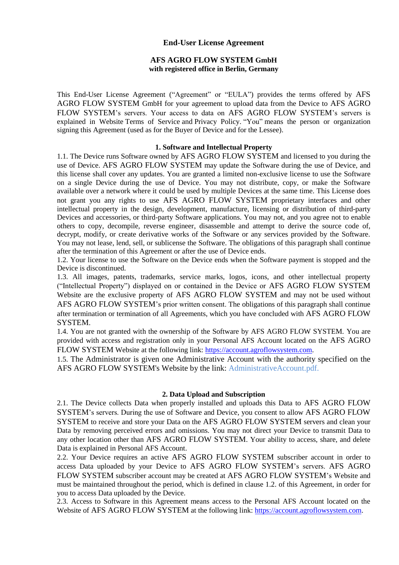## **End-User License Agreement**

# **AFS AGRO FLOW SYSTEM GmbH with registered office in Berlin, Germany**

This End-User License Agreement ("Agreement" or "EULA") provides the terms offered by AFS AGRO FLOW SYSTEM GmbH for your agreement to upload data from the Device to AFS AGRO FLOW SYSTEM's servers. Your access to data on AFS AGRO FLOW SYSTEM's servers is explained in Website [Terms of Service](https://teralytic.com/terms-of-service.html) and [Privacy Policy.](https://teralytic.com/privacy-policy.html) "You" means the person or organization signing this Agreement (used as for the Buyer of Device and for the Lessee).

### **1. Software and Intellectual Property**

1.1. The Device runs Software owned by AFS AGRO FLOW SYSTEM and licensed to you during the use of Device. AFS AGRO FLOW SYSTEM may update the Software during the use of Device, and this license shall cover any updates. You are granted a limited non-exclusive license to use the Software on a single Device during the use of Device. You may not distribute, copy, or make the Software available over a network where it could be used by multiple Devices at the same time. This License does not grant you any rights to use AFS AGRO FLOW SYSTEM proprietary interfaces and other intellectual property in the design, development, manufacture, licensing or distribution of third-party Devices and accessories, or third-party Software applications. You may not, and you agree not to enable others to copy, decompile, reverse engineer, disassemble and attempt to derive the source code of, decrypt, modify, or create derivative works of the Software or any services provided by the Software. You may not lease, lend, sell, or sublicense the Software. The obligations of this paragraph shall continue after the termination of this Agreement or after the use of Device ends.

1.2. Your license to use the Software on the Device ends when the Software payment is stopped and the Device is discontinued.

1.3. All images, patents, trademarks, service marks, logos, icons, and other intellectual property ("Intellectual Property") displayed on or contained in the Device or AFS AGRO FLOW SYSTEM Website are the exclusive property of AFS AGRO FLOW SYSTEM and may not be used without AFS AGRO FLOW SYSTEM's prior written consent. The obligations of this paragraph shall continue after termination or termination of all Agreements, which you have concluded with AFS AGRO FLOW SYSTEM.

1.4. You are not granted with the ownership of the Software by AFS AGRO FLOW SYSTEM. You are provided with access and registration only in your Personal AFS Account located on the AFS AGRO FLOW SYSTEM Website at the following link: [https://account.agroflowsystem.com.](https://account.agroflowsystem.com/)

1.5. The Administrator is given one Administrative Account with the authority specified on the AFS AGRO FLOW SYSTEM's Website by the link: AdministrativeAccount.pdf.

## **2. Data Upload and Subscription**

2.1. The Device collects Data when properly installed and uploads this Data to AFS AGRO FLOW SYSTEM's servers. During the use of Software and Device, you consent to allow AFS AGRO FLOW SYSTEM to receive and store your Data on the AFS AGRO FLOW SYSTEM servers and clean your Data by removing perceived errors and omissions. You may not direct your Device to transmit Data to any other location other than AFS AGRO FLOW SYSTEM. Your ability to access, share, and delete Data is explained in Personal AFS Account.

2.2. Your Device requires an active AFS AGRO FLOW SYSTEM subscriber account in order to access Data uploaded by your Device to AFS AGRO FLOW SYSTEM's servers. AFS AGRO FLOW SYSTEM subscriber account may be created at AFS AGRO FLOW SYSTEM's Website and must be maintained throughout the period, which is defined in clause 1.2. of this Agreement, in order for you to access Data uploaded by the Device.

2.3. Access to Software in this Agreement means access to the Personal AFS Account located on the Website of AFS AGRO FLOW SYSTEM at the following link: [https://account.agroflowsystem.com.](https://account.agroflowsystem.com/)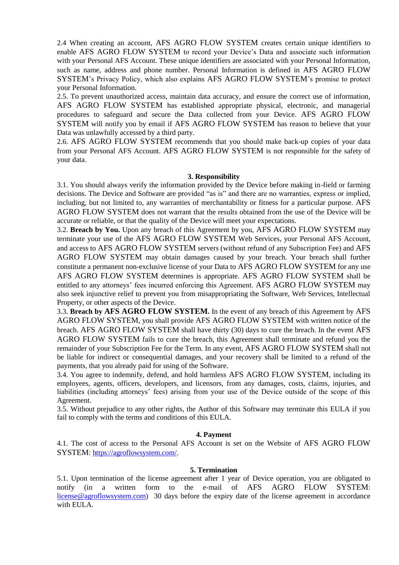2.4 When creating an account, AFS AGRO FLOW SYSTEM creates certain unique identifiers to enable AFS AGRO FLOW SYSTEM to record your Device's Data and associate such information with your Personal AFS Account. These unique identifiers are associated with your Personal Information, such as name, address and phone number. Personal Information is defined in AFS AGRO FLOW SYSTEM's Privacy Policy, which also explains AFS AGRO FLOW SYSTEM's promise to protect your Personal Information.

2.5. To prevent unauthorized access, maintain data accuracy, and ensure the correct use of information, AFS AGRO FLOW SYSTEM has established appropriate physical, electronic, and managerial procedures to safeguard and secure the Data collected from your Device. AFS AGRO FLOW SYSTEM will notify you by email if AFS AGRO FLOW SYSTEM has reason to believe that your Data was unlawfully accessed by a third party.

2.6. AFS AGRO FLOW SYSTEM recommends that you should make back-up copies of your data from your Personal AFS Account. AFS AGRO FLOW SYSTEM is not responsible for the safety of your data.

### **3. Responsibility**

3.1. You should always verify the information provided by the Device before making in-field or farming decisions. The Device and Software are provided "as is" and there are no warranties, express or implied, including, but not limited to, any warranties of merchantability or fitness for a particular purpose. AFS AGRO FLOW SYSTEM does not warrant that the results obtained from the use of the Device will be accurate or reliable, or that the quality of the Device will meet your expectations.

3.2. **Breach by You.** Upon any breach of this Agreement by you, AFS AGRO FLOW SYSTEM may terminate your use of the AFS AGRO FLOW SYSTEM Web Services, your Personal AFS Account, and access to AFS AGRO FLOW SYSTEM servers (without refund of any Subscription Fee) and AFS AGRO FLOW SYSTEM may obtain damages caused by your breach. Your breach shall further constitute a permanent non-exclusive license of your Data to AFS AGRO FLOW SYSTEM for any use AFS AGRO FLOW SYSTEM determines is appropriate. AFS AGRO FLOW SYSTEM shall be entitled to any attorneys' fees incurred enforcing this Agreement. AFS AGRO FLOW SYSTEM may also seek injunctive relief to prevent you from misappropriating the Software, Web Services, Intellectual Property, or other aspects of the Device.

3.3. **Breach by AFS AGRO FLOW SYSTEM.** In the event of any breach of this Agreement by AFS AGRO FLOW SYSTEM, you shall provide AFS AGRO FLOW SYSTEM with written notice of the breach. AFS AGRO FLOW SYSTEM shall have thirty (30) days to cure the breach. In the event AFS AGRO FLOW SYSTEM fails to cure the breach, this Agreement shall terminate and refund you the remainder of your Subscription Fee for the Term. In any event, AFS AGRO FLOW SYSTEM shall not be liable for indirect or consequential damages, and your recovery shall be limited to a refund of the payments, that you already paid for using of the Software.

3.4. You agree to indemnify, defend, and hold harmless AFS AGRO FLOW SYSTEM, including its employees, agents, officers, developers, and licensors, from any damages, costs, claims, injuries, and liabilities (including attorneys' fees) arising from your use of the Device outside of the scope of this Agreement.

3.5. Without prejudice to any other rights, the Author of this Software may terminate this EULA if you fail to comply with the terms and conditions of this EULA.

### **4. Payment**

4.1. The cost of access to the Personal AFS Account is set on the Website of AFS AGRO FLOW SYSTEM: [https://agroflowsystem.com/.](https://agroflowsystem.com/)

### **5. Termination**

5.1. Upon termination of the license agreement after 1 year of Device operation, you are obligated to notify (in a written form to the e-mail of AFS AGRO FLOW SYSTEM: [license@agroflowsystem.com\)](mailto:license@agroflowsystem.com) 30 days before the expiry date of the license agreement in accordance with EULA.